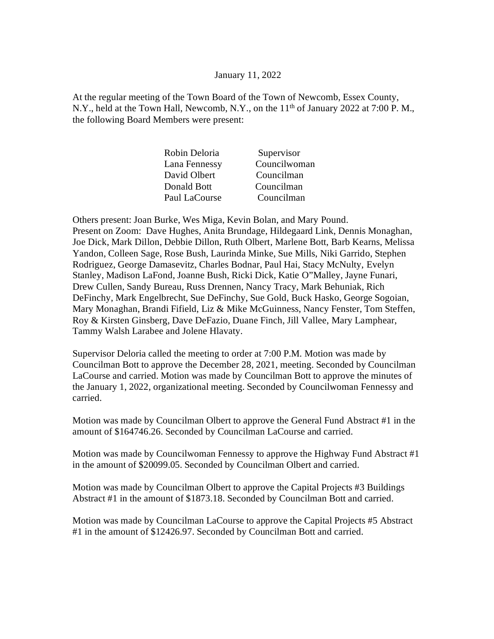## January 11, 2022

At the regular meeting of the Town Board of the Town of Newcomb, Essex County, N.Y., held at the Town Hall, Newcomb, N.Y., on the  $11<sup>th</sup>$  of January 2022 at 7:00 P.M., the following Board Members were present:

| Councilwoman |
|--------------|
|              |
|              |
|              |
|              |

Others present: Joan Burke, Wes Miga, Kevin Bolan, and Mary Pound. Present on Zoom: Dave Hughes, Anita Brundage, Hildegaard Link, Dennis Monaghan, Joe Dick, Mark Dillon, Debbie Dillon, Ruth Olbert, Marlene Bott, Barb Kearns, Melissa Yandon, Colleen Sage, Rose Bush, Laurinda Minke, Sue Mills, Niki Garrido, Stephen Rodriguez, George Damasevitz, Charles Bodnar, Paul Hai, Stacy McNulty, Evelyn Stanley, Madison LaFond, Joanne Bush, Ricki Dick, Katie O"Malley, Jayne Funari, Drew Cullen, Sandy Bureau, Russ Drennen, Nancy Tracy, Mark Behuniak, Rich DeFinchy, Mark Engelbrecht, Sue DeFinchy, Sue Gold, Buck Hasko, George Sogoian, Mary Monaghan, Brandi Fifield, Liz & Mike McGuinness, Nancy Fenster, Tom Steffen, Roy & Kirsten Ginsberg, Dave DeFazio, Duane Finch, Jill Vallee, Mary Lamphear, Tammy Walsh Larabee and Jolene Hlavaty.

Supervisor Deloria called the meeting to order at 7:00 P.M. Motion was made by Councilman Bott to approve the December 28, 2021, meeting. Seconded by Councilman LaCourse and carried. Motion was made by Councilman Bott to approve the minutes of the January 1, 2022, organizational meeting. Seconded by Councilwoman Fennessy and carried.

Motion was made by Councilman Olbert to approve the General Fund Abstract #1 in the amount of \$164746.26. Seconded by Councilman LaCourse and carried.

Motion was made by Councilwoman Fennessy to approve the Highway Fund Abstract #1 in the amount of \$20099.05. Seconded by Councilman Olbert and carried.

Motion was made by Councilman Olbert to approve the Capital Projects #3 Buildings Abstract #1 in the amount of \$1873.18. Seconded by Councilman Bott and carried.

Motion was made by Councilman LaCourse to approve the Capital Projects #5 Abstract #1 in the amount of \$12426.97. Seconded by Councilman Bott and carried.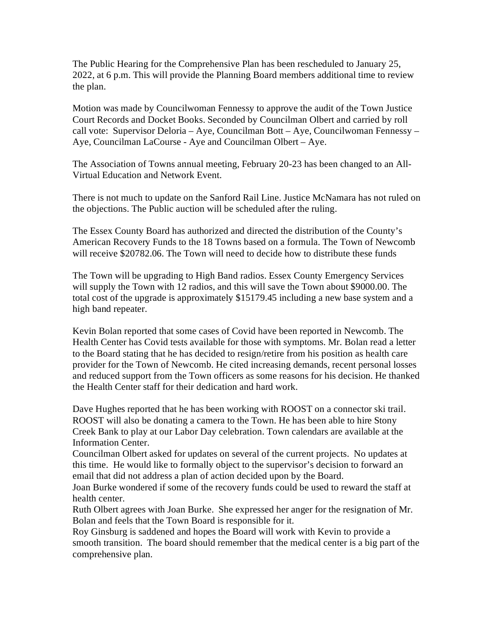The Public Hearing for the Comprehensive Plan has been rescheduled to January 25, 2022, at 6 p.m. This will provide the Planning Board members additional time to review the plan.

Motion was made by Councilwoman Fennessy to approve the audit of the Town Justice Court Records and Docket Books. Seconded by Councilman Olbert and carried by roll call vote: Supervisor Deloria – Aye, Councilman Bott – Aye, Councilwoman Fennessy – Aye, Councilman LaCourse - Aye and Councilman Olbert – Aye.

The Association of Towns annual meeting, February 20-23 has been changed to an All-Virtual Education and Network Event.

There is not much to update on the Sanford Rail Line. Justice McNamara has not ruled on the objections. The Public auction will be scheduled after the ruling.

The Essex County Board has authorized and directed the distribution of the County's American Recovery Funds to the 18 Towns based on a formula. The Town of Newcomb will receive \$20782.06. The Town will need to decide how to distribute these funds

The Town will be upgrading to High Band radios. Essex County Emergency Services will supply the Town with 12 radios, and this will save the Town about \$9000.00. The total cost of the upgrade is approximately \$15179.45 including a new base system and a high band repeater.

Kevin Bolan reported that some cases of Covid have been reported in Newcomb. The Health Center has Covid tests available for those with symptoms. Mr. Bolan read a letter to the Board stating that he has decided to resign/retire from his position as health care provider for the Town of Newcomb. He cited increasing demands, recent personal losses and reduced support from the Town officers as some reasons for his decision. He thanked the Health Center staff for their dedication and hard work.

Dave Hughes reported that he has been working with ROOST on a connector ski trail. ROOST will also be donating a camera to the Town. He has been able to hire Stony Creek Bank to play at our Labor Day celebration. Town calendars are available at the Information Center.

Councilman Olbert asked for updates on several of the current projects. No updates at this time. He would like to formally object to the supervisor's decision to forward an email that did not address a plan of action decided upon by the Board.

Joan Burke wondered if some of the recovery funds could be used to reward the staff at health center.

Ruth Olbert agrees with Joan Burke. She expressed her anger for the resignation of Mr. Bolan and feels that the Town Board is responsible for it.

Roy Ginsburg is saddened and hopes the Board will work with Kevin to provide a smooth transition. The board should remember that the medical center is a big part of the comprehensive plan.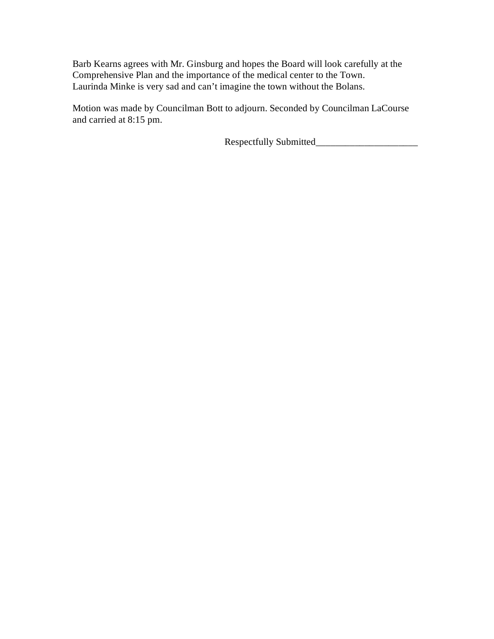Barb Kearns agrees with Mr. Ginsburg and hopes the Board will look carefully at the Comprehensive Plan and the importance of the medical center to the Town. Laurinda Minke is very sad and can't imagine the town without the Bolans.

Motion was made by Councilman Bott to adjourn. Seconded by Councilman LaCourse and carried at 8:15 pm.

Respectfully Submitted\_\_\_\_\_\_\_\_\_\_\_\_\_\_\_\_\_\_\_\_\_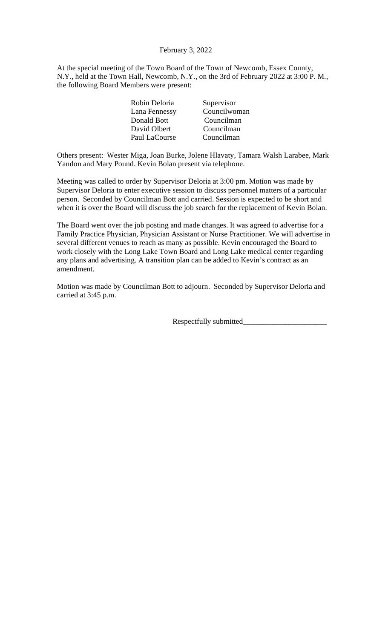# February 3, 2022

At the special meeting of the Town Board of the Town of Newcomb, Essex County, N.Y., held at the Town Hall, Newcomb, N.Y., on the 3rd of February 2022 at 3:00 P. M., the following Board Members were present:

Others present: Wester Miga, Joan Burke, Jolene Hlavaty, Tamara Walsh Larabee, Mark Yandon and Mary Pound. Kevin Bolan present via telephone.

Meeting was called to order by Supervisor Deloria at 3:00 pm. Motion was made by Supervisor Deloria to enter executive session to discuss personnel matters of a particular person. Seconded by Councilman Bott and carried. Session is expected to be short and when it is over the Board will discuss the job search for the replacement of Kevin Bolan.

The Board went over the job posting and made changes. It was agreed to advertise for a Family Practice Physician, Physician Assistant or Nurse Practitioner. We will advertise in several different venues to reach as many as possible. Kevin encouraged the Board to work closely with the Long Lake Town Board and Long Lake medical center regarding any plans and advertising. A transition plan can be added to Kevin's contract as an amendment.

Motion was made by Councilman Bott to adjourn. Seconded by Supervisor Deloria and carried at 3:45 p.m.

Respectfully submitted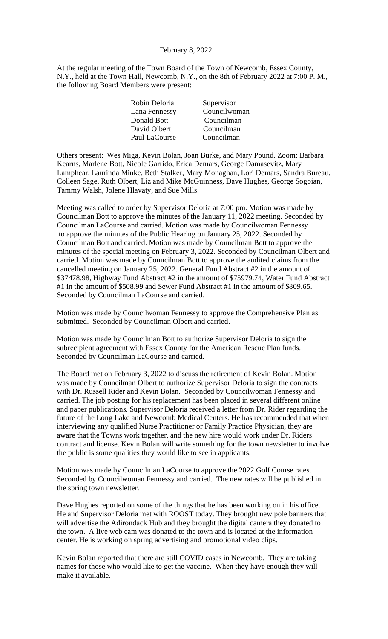## February 8, 2022

At the regular meeting of the Town Board of the Town of Newcomb, Essex County, N.Y., held at the Town Hall, Newcomb, N.Y., on the 8th of February 2022 at 7:00 P. M., the following Board Members were present:

| Robin Deloria | Supervisor   |
|---------------|--------------|
| Lana Fennessy | Councilwoman |
| Donald Bott   | Councilman   |
| David Olbert  | Councilman   |
| Paul LaCourse | Councilman   |
|               |              |

Others present: Wes Miga, Kevin Bolan, Joan Burke, and Mary Pound. Zoom: Barbara Kearns, Marlene Bott, Nicole Garrido, Erica Demars, George Damasevitz, Mary Lamphear, Laurinda Minke, Beth Stalker, Mary Monaghan, Lori Demars, Sandra Bureau, Colleen Sage, Ruth Olbert, Liz and Mike McGuinness, Dave Hughes, George Sogoian, Tammy Walsh, Jolene Hlavaty, and Sue Mills.

Meeting was called to order by Supervisor Deloria at 7:00 pm. Motion was made by Councilman Bott to approve the minutes of the January 11, 2022 meeting. Seconded by Councilman LaCourse and carried. Motion was made by Councilwoman Fennessy to approve the minutes of the Public Hearing on January 25, 2022. Seconded by Councilman Bott and carried. Motion was made by Councilman Bott to approve the minutes of the special meeting on February 3, 2022. Seconded by Councilman Olbert and carried. Motion was made by Councilman Bott to approve the audited claims from the cancelled meeting on January 25, 2022. General Fund Abstract #2 in the amount of \$37478.98, Highway Fund Abstract #2 in the amount of \$75979.74, Water Fund Abstract #1 in the amount of \$508.99 and Sewer Fund Abstract #1 in the amount of \$809.65. Seconded by Councilman LaCourse and carried.

Motion was made by Councilwoman Fennessy to approve the Comprehensive Plan as submitted. Seconded by Councilman Olbert and carried.

Motion was made by Councilman Bott to authorize Supervisor Deloria to sign the subrecipient agreement with Essex County for the American Rescue Plan funds. Seconded by Councilman LaCourse and carried.

The Board met on February 3, 2022 to discuss the retirement of Kevin Bolan. Motion was made by Councilman Olbert to authorize Supervisor Deloria to sign the contracts with Dr. Russell Rider and Kevin Bolan. Seconded by Councilwoman Fennessy and carried. The job posting for his replacement has been placed in several different online and paper publications. Supervisor Deloria received a letter from Dr. Rider regarding the future of the Long Lake and Newcomb Medical Centers. He has recommended that when interviewing any qualified Nurse Practitioner or Family Practice Physician, they are aware that the Towns work together, and the new hire would work under Dr. Riders contract and license. Kevin Bolan will write something for the town newsletter to involve the public is some qualities they would like to see in applicants.

Motion was made by Councilman LaCourse to approve the 2022 Golf Course rates. Seconded by Councilwoman Fennessy and carried. The new rates will be published in the spring town newsletter.

Dave Hughes reported on some of the things that he has been working on in his office. He and Supervisor Deloria met with ROOST today. They brought new pole banners that will advertise the Adirondack Hub and they brought the digital camera they donated to the town. A live web cam was donated to the town and is located at the information center. He is working on spring advertising and promotional video clips.

Kevin Bolan reported that there are still COVID cases in Newcomb. They are taking names for those who would like to get the vaccine. When they have enough they will make it available.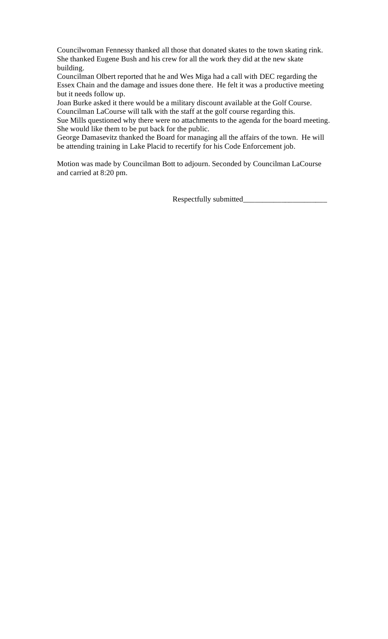Councilwoman Fennessy thanked all those that donated skates to the town skating rink. She thanked Eugene Bush and his crew for all the work they did at the new skate building.

Councilman Olbert reported that he and Wes Miga had a call with DEC regarding the Essex Chain and the damage and issues done there. He felt it was a productive meeting but it needs follow up.

Joan Burke asked it there would be a military discount available at the Golf Course. Councilman LaCourse will talk with the staff at the golf course regarding this.

Sue Mills questioned why there were no attachments to the agenda for the board meeting. She would like them to be put back for the public.

George Damasevitz thanked the Board for managing all the affairs of the town. He will be attending training in Lake Placid to recertify for his Code Enforcement job.

Motion was made by Councilman Bott to adjourn. Seconded by Councilman LaCourse and carried at 8:20 pm.

Respectfully submitted\_\_\_\_\_\_\_\_\_\_\_\_\_\_\_\_\_\_\_\_\_\_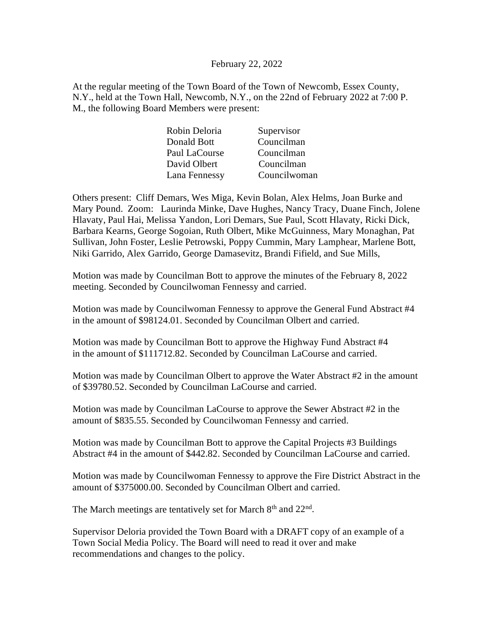## February 22, 2022

At the regular meeting of the Town Board of the Town of Newcomb, Essex County, N.Y., held at the Town Hall, Newcomb, N.Y., on the 22nd of February 2022 at 7:00 P. M., the following Board Members were present:

| Robin Deloria | Supervisor   |
|---------------|--------------|
| Donald Bott   | Councilman   |
| Paul LaCourse | Councilman   |
| David Olbert  | Councilman   |
| Lana Fennessy | Councilwoman |

Others present: Cliff Demars, Wes Miga, Kevin Bolan, Alex Helms, Joan Burke and Mary Pound. Zoom: Laurinda Minke, Dave Hughes, Nancy Tracy, Duane Finch, Jolene Hlavaty, Paul Hai, Melissa Yandon, Lori Demars, Sue Paul, Scott Hlavaty, Ricki Dick, Barbara Kearns, George Sogoian, Ruth Olbert, Mike McGuinness, Mary Monaghan, Pat Sullivan, John Foster, Leslie Petrowski, Poppy Cummin, Mary Lamphear, Marlene Bott, Niki Garrido, Alex Garrido, George Damasevitz, Brandi Fifield, and Sue Mills,

Motion was made by Councilman Bott to approve the minutes of the February 8, 2022 meeting. Seconded by Councilwoman Fennessy and carried.

Motion was made by Councilwoman Fennessy to approve the General Fund Abstract #4 in the amount of \$98124.01. Seconded by Councilman Olbert and carried.

Motion was made by Councilman Bott to approve the Highway Fund Abstract #4 in the amount of \$111712.82. Seconded by Councilman LaCourse and carried.

Motion was made by Councilman Olbert to approve the Water Abstract #2 in the amount of \$39780.52. Seconded by Councilman LaCourse and carried.

Motion was made by Councilman LaCourse to approve the Sewer Abstract #2 in the amount of \$835.55. Seconded by Councilwoman Fennessy and carried.

Motion was made by Councilman Bott to approve the Capital Projects #3 Buildings Abstract #4 in the amount of \$442.82. Seconded by Councilman LaCourse and carried.

Motion was made by Councilwoman Fennessy to approve the Fire District Abstract in the amount of \$375000.00. Seconded by Councilman Olbert and carried.

The March meetings are tentatively set for March  $8<sup>th</sup>$  and  $22<sup>nd</sup>$ .

Supervisor Deloria provided the Town Board with a DRAFT copy of an example of a Town Social Media Policy. The Board will need to read it over and make recommendations and changes to the policy.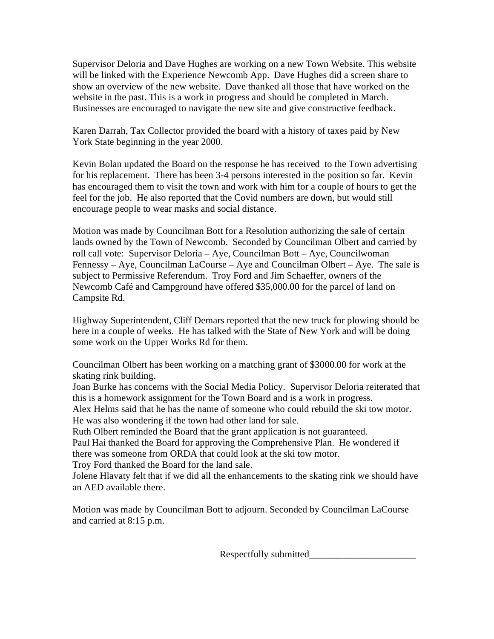Supervisor Deloria and Dave Hughes are working on a new Town Website. This website will be linked with the Experience Newcomb App. Dave Hughes did a screen share to show an overview of the new website. Dave thanked all those that have worked on the website in the past. This is a work in progress and should be completed in March. Businesses are encouraged to navigate the new site and give constructive feedback.

Karen Darrah, Tax Collector provided the board with a history of taxes paid by New York State beginning in the year 2000.

Kevin Bolan updated the Board on the response he has received to the Town advertising for his replacement. There has been 3-4 persons interested in the position so far. Kevin has encouraged them to visit the town and work with him for a couple of hours to get the feel for the job. He also reported that the Covid numbers are down, but would still encourage people to wear masks and social distance.

Motion was made by Councilman Bott for a Resolution authorizing the sale of certain lands owned by the Town of Newcomb. Seconded by Councilman Olbert and carried by roll call vote: Supervisor Deloria – Aye, Councilman Bott – Aye, Councilwoman Fennessy – Aye, Councilman LaCourse – Aye and Councilman Olbert – Aye. The sale is subject to Permissive Referendum. Troy Ford and Jim Schaeffer, owners of the Newcomb Café and Campground have offered \$35,000.00 for the parcel of land on Campsite Rd.

Highway Superintendent, Cliff Demars reported that the new truck for plowing should be here in a couple of weeks. He has talked with the State of New York and will be doing some work on the Upper Works Rd for them.

Councilman Olbert has been working on a matching grant of \$3000.00 for work at the skating rink building.

Joan Burke has concerns with the Social Media Policy. Supervisor Deloria reiterated that this is a homework assignment for the Town Board and is a work in progress.

Alex Helms said that he has the name of someone who could rebuild the ski tow motor. He was also wondering if the town had other land for sale.

Ruth Olbert reminded the Board that the grant application is not guaranteed.

Paul Hai thanked the Board for approving the Comprehensive Plan. He wondered if there was someone from ORDA that could look at the ski tow motor.

Troy Ford thanked the Board for the land sale.

Jolene Hlavaty felt that if we did all the enhancements to the skating rink we should have an AED available there.

Motion was made by Councilman Bott to adjourn. Seconded by Councilman LaCourse and carried at 8:15 p.m.

Respectfully submitted\_\_\_\_\_\_\_\_\_\_\_\_\_\_\_\_\_\_\_\_\_\_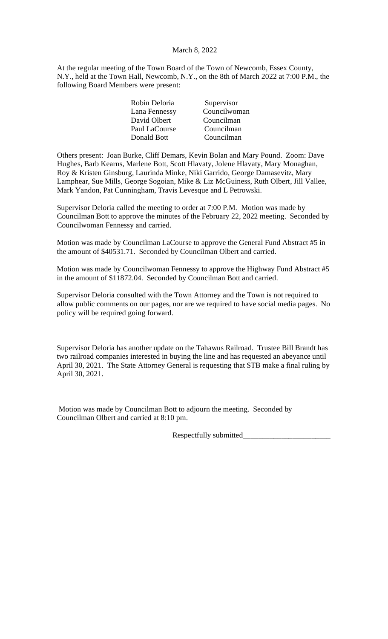# March 8, 2022

At the regular meeting of the Town Board of the Town of Newcomb, Essex County, N.Y., held at the Town Hall, Newcomb, N.Y., on the 8th of March 2022 at 7:00 P.M., the following Board Members were present:

| Robin Deloria | Supervisor   |
|---------------|--------------|
| Lana Fennessy | Councilwoman |
| David Olbert  | Councilman   |
| Paul LaCourse | Councilman   |
| Donald Bott   | Councilman   |
|               |              |

Others present: Joan Burke, Cliff Demars, Kevin Bolan and Mary Pound. Zoom: Dave Hughes, Barb Kearns, Marlene Bott, Scott Hlavaty, Jolene Hlavaty, Mary Monaghan, Roy & Kristen Ginsburg, Laurinda Minke, Niki Garrido, George Damasevitz, Mary Lamphear, Sue Mills, George Sogoian, Mike & Liz McGuiness, Ruth Olbert, Jill Vallee, Mark Yandon, Pat Cunningham, Travis Levesque and L Petrowski.

Supervisor Deloria called the meeting to order at 7:00 P.M. Motion was made by Councilman Bott to approve the minutes of the February 22, 2022 meeting. Seconded by Councilwoman Fennessy and carried.

Motion was made by Councilman LaCourse to approve the General Fund Abstract #5 in the amount of \$40531.71. Seconded by Councilman Olbert and carried.

Motion was made by Councilwoman Fennessy to approve the Highway Fund Abstract #5 in the amount of \$11872.04. Seconded by Councilman Bott and carried.

Supervisor Deloria consulted with the Town Attorney and the Town is not required to allow public comments on our pages, nor are we required to have social media pages. No policy will be required going forward.

Supervisor Deloria has another update on the Tahawus Railroad. Trustee Bill Brandt has two railroad companies interested in buying the line and has requested an abeyance until April 30, 2021. The State Attorney General is requesting that STB make a final ruling by April 30, 2021.

Motion was made by Councilman Bott to adjourn the meeting. Seconded by Councilman Olbert and carried at 8:10 pm.

Respectfully submitted\_\_\_\_\_\_\_\_\_\_\_\_\_\_\_\_\_\_\_\_\_\_\_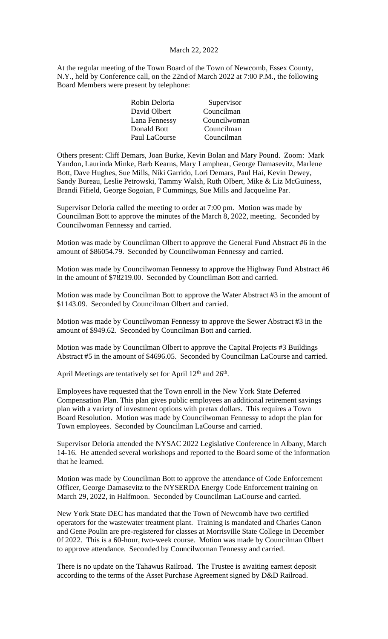## March 22, 2022

At the regular meeting of the Town Board of the Town of Newcomb, Essex County, N.Y., held by Conference call, on the 22nd of March 2022 at 7:00 P.M., the following Board Members were present by telephone:

| Robin Deloria | Supervisor   |
|---------------|--------------|
| David Olbert  | Councilman   |
| Lana Fennessy | Councilwoman |
| Donald Bott   | Councilman   |
| Paul LaCourse | Councilman   |

Others present: Cliff Demars, Joan Burke, Kevin Bolan and Mary Pound. Zoom: Mark Yandon, Laurinda Minke, Barb Kearns, Mary Lamphear, George Damasevitz, Marlene Bott, Dave Hughes, Sue Mills, Niki Garrido, Lori Demars, Paul Hai, Kevin Dewey, Sandy Bureau, Leslie Petrowski, Tammy Walsh, Ruth Olbert, Mike & Liz McGuiness, Brandi Fifield, George Sogoian, P Cummings, Sue Mills and Jacqueline Par.

Supervisor Deloria called the meeting to order at 7:00 pm. Motion was made by Councilman Bott to approve the minutes of the March 8, 2022, meeting. Seconded by Councilwoman Fennessy and carried.

Motion was made by Councilman Olbert to approve the General Fund Abstract #6 in the amount of \$86054.79. Seconded by Councilwoman Fennessy and carried.

Motion was made by Councilwoman Fennessy to approve the Highway Fund Abstract #6 in the amount of \$78219.00. Seconded by Councilman Bott and carried.

Motion was made by Councilman Bott to approve the Water Abstract #3 in the amount of \$1143.09. Seconded by Councilman Olbert and carried.

Motion was made by Councilwoman Fennessy to approve the Sewer Abstract #3 in the amount of \$949.62. Seconded by Councilman Bott and carried.

Motion was made by Councilman Olbert to approve the Capital Projects #3 Buildings Abstract #5 in the amount of \$4696.05. Seconded by Councilman LaCourse and carried.

April Meetings are tentatively set for April  $12<sup>th</sup>$  and  $26<sup>th</sup>$ .

Employees have requested that the Town enroll in the New York State Deferred Compensation Plan. This plan gives public employees an additional retirement savings plan with a variety of investment options with pretax dollars. This requires a Town Board Resolution. Motion was made by Councilwoman Fennessy to adopt the plan for Town employees. Seconded by Councilman LaCourse and carried.

Supervisor Deloria attended the NYSAC 2022 Legislative Conference in Albany, March 14-16. He attended several workshops and reported to the Board some of the information that he learned.

Motion was made by Councilman Bott to approve the attendance of Code Enforcement Officer, George Damasevitz to the NYSERDA Energy Code Enforcement training on March 29, 2022, in Halfmoon. Seconded by Councilman LaCourse and carried.

New York State DEC has mandated that the Town of Newcomb have two certified operators for the wastewater treatment plant. Training is mandated and Charles Canon and Gene Poulin are pre-registered for classes at Morrisville State College in December 0f 2022. This is a 60-hour, two-week course. Motion was made by Councilman Olbert to approve attendance. Seconded by Councilwoman Fennessy and carried.

There is no update on the Tahawus Railroad. The Trustee is awaiting earnest deposit according to the terms of the Asset Purchase Agreement signed by D&D Railroad.